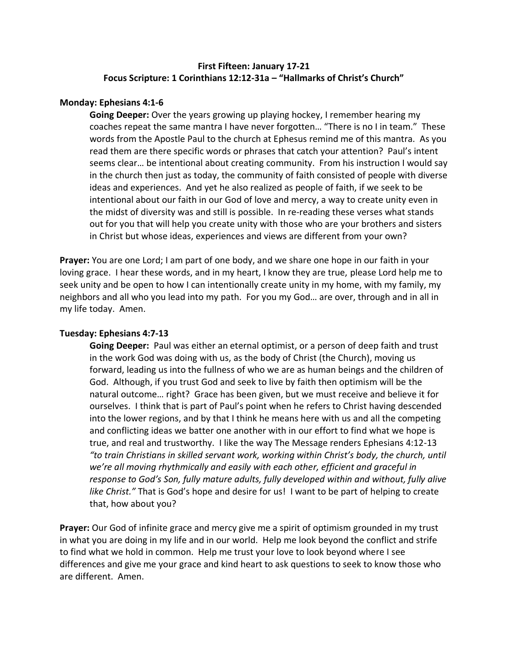# **First Fifteen: January 17-21 Focus Scripture: 1 Corinthians 12:12-31a – "Hallmarks of Christ's Church"**

# **Monday: Ephesians 4:1-6**

**Going Deeper:** Over the years growing up playing hockey, I remember hearing my coaches repeat the same mantra I have never forgotten… "There is no I in team." These words from the Apostle Paul to the church at Ephesus remind me of this mantra. As you read them are there specific words or phrases that catch your attention? Paul's intent seems clear… be intentional about creating community. From his instruction I would say in the church then just as today, the community of faith consisted of people with diverse ideas and experiences. And yet he also realized as people of faith, if we seek to be intentional about our faith in our God of love and mercy, a way to create unity even in the midst of diversity was and still is possible. In re-reading these verses what stands out for you that will help you create unity with those who are your brothers and sisters in Christ but whose ideas, experiences and views are different from your own?

**Prayer:** You are one Lord; I am part of one body, and we share one hope in our faith in your loving grace. I hear these words, and in my heart, I know they are true, please Lord help me to seek unity and be open to how I can intentionally create unity in my home, with my family, my neighbors and all who you lead into my path. For you my God… are over, through and in all in my life today. Amen.

### **Tuesday: Ephesians 4:7-13**

**Going Deeper:** Paul was either an eternal optimist, or a person of deep faith and trust in the work God was doing with us, as the body of Christ (the Church), moving us forward, leading us into the fullness of who we are as human beings and the children of God. Although, if you trust God and seek to live by faith then optimism will be the natural outcome… right? Grace has been given, but we must receive and believe it for ourselves. I think that is part of Paul's point when he refers to Christ having descended into the lower regions, and by that I think he means here with us and all the competing and conflicting ideas we batter one another with in our effort to find what we hope is true, and real and trustworthy. I like the way The Message renders Ephesians 4:12-13 *"to train Christians in skilled servant work, working within Christ's body, the church, until we're all moving rhythmically and easily with each other, efficient and graceful in response to God's Son, fully mature adults, fully developed within and without, fully alive like Christ."* That is God's hope and desire for us! I want to be part of helping to create that, how about you?

**Prayer:** Our God of infinite grace and mercy give me a spirit of optimism grounded in my trust in what you are doing in my life and in our world. Help me look beyond the conflict and strife to find what we hold in common. Help me trust your love to look beyond where I see differences and give me your grace and kind heart to ask questions to seek to know those who are different. Amen.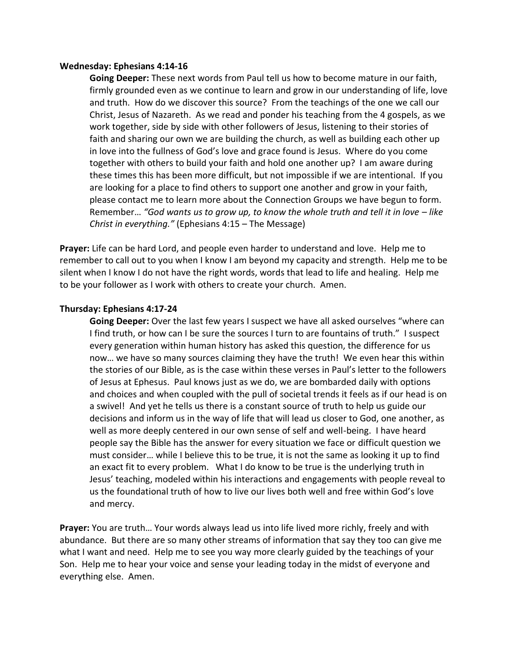#### **Wednesday: Ephesians 4:14-16**

**Going Deeper:** These next words from Paul tell us how to become mature in our faith, firmly grounded even as we continue to learn and grow in our understanding of life, love and truth. How do we discover this source? From the teachings of the one we call our Christ, Jesus of Nazareth. As we read and ponder his teaching from the 4 gospels, as we work together, side by side with other followers of Jesus, listening to their stories of faith and sharing our own we are building the church, as well as building each other up in love into the fullness of God's love and grace found is Jesus. Where do you come together with others to build your faith and hold one another up? I am aware during these times this has been more difficult, but not impossible if we are intentional. If you are looking for a place to find others to support one another and grow in your faith, please contact me to learn more about the Connection Groups we have begun to form. Remember… *"God wants us to grow up, to know the whole truth and tell it in love – like Christ in everything."* (Ephesians 4:15 – The Message)

**Prayer:** Life can be hard Lord, and people even harder to understand and love. Help me to remember to call out to you when I know I am beyond my capacity and strength. Help me to be silent when I know I do not have the right words, words that lead to life and healing. Help me to be your follower as I work with others to create your church. Amen.

# **Thursday: Ephesians 4:17-24**

**Going Deeper:** Over the last few years I suspect we have all asked ourselves "where can I find truth, or how can I be sure the sources I turn to are fountains of truth." I suspect every generation within human history has asked this question, the difference for us now… we have so many sources claiming they have the truth! We even hear this within the stories of our Bible, as is the case within these verses in Paul's letter to the followers of Jesus at Ephesus. Paul knows just as we do, we are bombarded daily with options and choices and when coupled with the pull of societal trends it feels as if our head is on a swivel! And yet he tells us there is a constant source of truth to help us guide our decisions and inform us in the way of life that will lead us closer to God, one another, as well as more deeply centered in our own sense of self and well-being. I have heard people say the Bible has the answer for every situation we face or difficult question we must consider… while I believe this to be true, it is not the same as looking it up to find an exact fit to every problem. What I do know to be true is the underlying truth in Jesus' teaching, modeled within his interactions and engagements with people reveal to us the foundational truth of how to live our lives both well and free within God's love and mercy.

**Prayer:** You are truth… Your words always lead us into life lived more richly, freely and with abundance. But there are so many other streams of information that say they too can give me what I want and need. Help me to see you way more clearly guided by the teachings of your Son. Help me to hear your voice and sense your leading today in the midst of everyone and everything else. Amen.